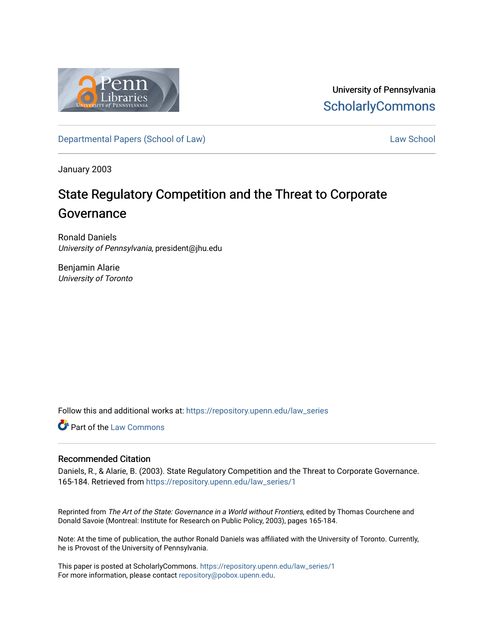

University of Pennsylvania **ScholarlyCommons** 

[Departmental Papers \(School of Law\)](https://repository.upenn.edu/law_series) and the control of [Law School](https://repository.upenn.edu/law) Law School Law School

January 2003

# State Regulatory Competition and the Threat to Corporate Governance

Ronald Daniels University of Pennsylvania, president@jhu.edu

Benjamin Alarie University of Toronto

Follow this and additional works at: [https://repository.upenn.edu/law\\_series](https://repository.upenn.edu/law_series?utm_source=repository.upenn.edu%2Flaw_series%2F1&utm_medium=PDF&utm_campaign=PDFCoverPages)

Part of the [Law Commons](http://network.bepress.com/hgg/discipline/578?utm_source=repository.upenn.edu%2Flaw_series%2F1&utm_medium=PDF&utm_campaign=PDFCoverPages)

## Recommended Citation

Daniels, R., & Alarie, B. (2003). State Regulatory Competition and the Threat to Corporate Governance. 165-184. Retrieved from [https://repository.upenn.edu/law\\_series/1](https://repository.upenn.edu/law_series/1?utm_source=repository.upenn.edu%2Flaw_series%2F1&utm_medium=PDF&utm_campaign=PDFCoverPages)

Reprinted from The Art of the State: Governance in a World without Frontiers, edited by Thomas Courchene and Donald Savoie (Montreal: Institute for Research on Public Policy, 2003), pages 165-184.

Note: At the time of publication, the author Ronald Daniels was affiliated with the University of Toronto. Currently, he is Provost of the University of Pennsylvania.

This paper is posted at ScholarlyCommons. [https://repository.upenn.edu/law\\_series/1](https://repository.upenn.edu/law_series/1)  For more information, please contact [repository@pobox.upenn.edu.](mailto:repository@pobox.upenn.edu)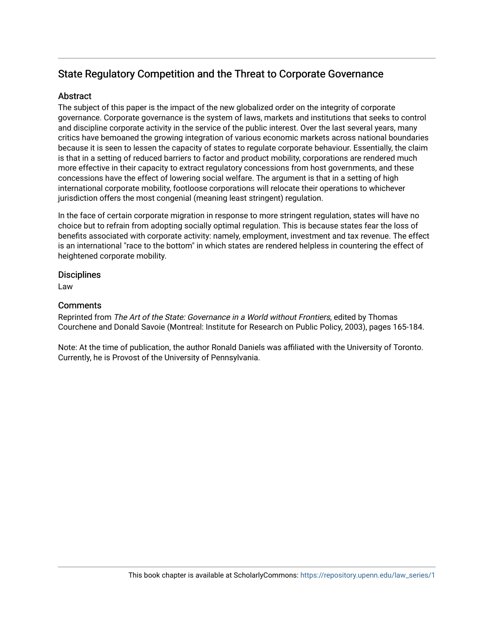## State Regulatory Competition and the Threat to Corporate Governance

## Abstract

The subject of this paper is the impact of the new globalized order on the integrity of corporate governance. Corporate governance is the system of laws, markets and institutions that seeks to control and discipline corporate activity in the service of the public interest. Over the last several years, many critics have bemoaned the growing integration of various economic markets across national boundaries because it is seen to lessen the capacity of states to regulate corporate behaviour. Essentially, the claim is that in a setting of reduced barriers to factor and product mobility, corporations are rendered much more effective in their capacity to extract regulatory concessions from host governments, and these concessions have the effect of lowering social welfare. The argument is that in a setting of high international corporate mobility, footloose corporations will relocate their operations to whichever jurisdiction offers the most congenial (meaning least stringent) regulation.

In the face of certain corporate migration in response to more stringent regulation, states will have no choice but to refrain from adopting socially optimal regulation. This is because states fear the loss of benefits associated with corporate activity: namely, employment, investment and tax revenue. The effect is an international "race to the bottom" in which states are rendered helpless in countering the effect of heightened corporate mobility.

## **Disciplines**

Law

## **Comments**

Reprinted from The Art of the State: Governance in a World without Frontiers, edited by Thomas Courchene and Donald Savoie (Montreal: Institute for Research on Public Policy, 2003), pages 165-184.

Note: At the time of publication, the author Ronald Daniels was affiliated with the University of Toronto. Currently, he is Provost of the University of Pennsylvania.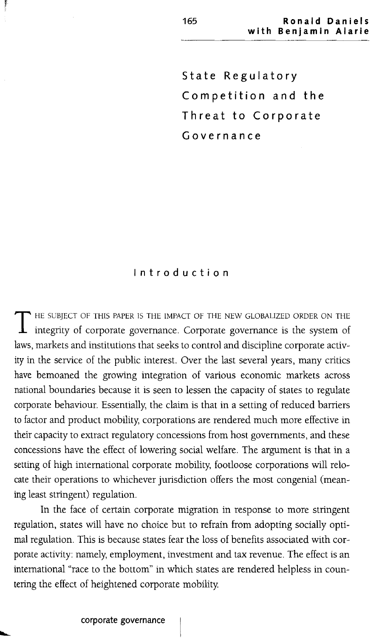**State Regulatory Competition and the Threat to Corporate Governance**

#### **Introduction**

THE SUBJECT OF THIS PAPER IS THE IMPACT OF THE NEW GLOBALIZED ORDER ON THE integrity of corporate governance. Corporate governance is the system of laws, markets and institutions that seeks to control and discipline corporate activity in the service of the public interest. Over the last several years, many critics have bemoaned the growing integration of various economic markets across national boundaries because it is seen to lessen the capacity of states to regulate corporate behaviour. Essentially, the claim is that in a setting of reduced barriers to factor and product mobility, corporations are rendered much more effective in their capacity to extract regulatory concessions from host governments, and these concessions have the effect of lowering social welfare. The argument is that in a setting of high international corporate mobility, footloose corporations will relocate their operations to whichever jurisdiction offers the most congenial (meaning least stringent) regulation.

In the face of certain corporate migration in response to more stringent regulation, states will have no choice but to refrain from adopting socially optimal regulation. This is because states fear the loss of benefits associated with corporate activity: namely, employment, investment and tax revenue. The effect is an international "race to the bottom" in which states are rendered helpless in countering the effect of heightened corporate mobility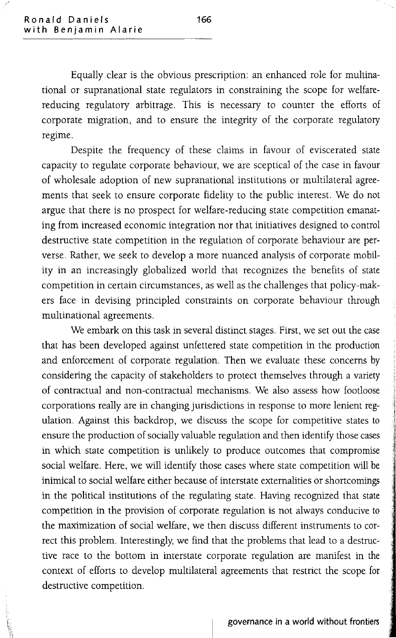Equally clear is the obvious prescription: an enhanced role for multinational or supranational state regulators in constraining the scope for welfarereducing regulatory arbitrage. This is necessary to counter the efforts of corporate migration, and to ensure the integrity of the corporate regulatory regime.

Despite the frequency of these claims in favour of eviscerated state capacity to regulate corporate behaviour, we are sceptical of the case in favour of wholesale adoption of new supranational institutions or multilateral agreements that seek to ensure corporate fidelity to the public interest. We do not argue that there is no prospect for welfare-reducing state competition emanating from increased economic integration nor that initiatives designed to control destructive state competition in the regulation of corporate behaviour are perverse. Rather, we seek to develop a more nuanced analysis of corporate mobility in an increasingly globalized world that recognizes the benefits of state competition in certain circumstances, as well as the challenges that policy-makers face in devising principled constraints on corporate behaviour through multinational agreements.

We embark on this task in several distinct stages. First, we set out the case that has been developed against unfettered state competition in the production and enforcement of corporate regulation. Then we evaluate these concerns by considering the capacity of stakeholders to protect themselves through a variety of contractual and non-contractual mechanisms. We also assess how footloose corporations really are in changing jurisdictions in response to more lenient regulation. Against this backdrop, we discuss the scope for competitive states to ensure the production of socially valuable regulation and then identify those cases in which state competition is unlikely to produce outcomes that compromise social welfare. Here, we will identify those cases where state competition will be inimical to social welfare either because of interstate externalities or shortcomings in the political institutions of the regulating state. Having recognized that state competition in the provision of corporate regulation is not always conducive to the maximization of social welfare, we then discuss different instruments to correct this problem. Interestingly, we find that the problems that lead to a destructive race to the bottom in interstate corporate regulation are manifest in the context of efforts to develop multilateral agreements that restrict the scope for destructive competition.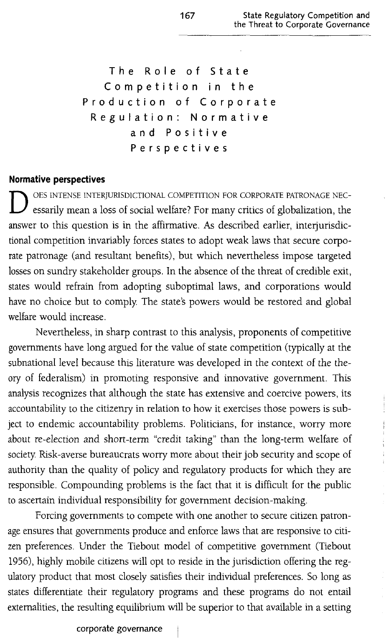The Role of State Competition in the Production of Corporate Regulation: Normative and Positive Perspectives

#### **Normative perspectives**

D OES INTENSE INTERJURISDICTIONAL COMPETITION FOR CORPORATE PATRONAGE NEC-<br>essarily mean a loss of social welfare? For many critics of globalization, the answer to this question is in the affirmative. As described earlier, interjurisdictional competition invariably forces states to adopt weak laws that secure corporate patronage (and resultant benefits), but which nevertheless impose targeted losses on sundry stakeholder groups. In the absence of the threat of credible exit, states would refrain from adopting suboptimal laws, and corporations would have no choice but to comply. The state's powers would be restored and global welfare would increase.

Nevertheless, in sharp contrast to this analysis, proponents of competitive governments have long argued for the value of state competition (typically at the subnational level because this literature was developed in the context of the theory of federalism) in promoting responsive and innovative government. This analysis recognizes that although the state has extensive and coercive powers, its accountability to the citizenry in relation to how it exercises those powers is subject to endemic accountability problems. Politicians, for instance, worry more about re-election and short-term "credit taking" than the long-term welfare of society Risk-averse bureaucrats worry more about their job security and scope of authority than the quality of policy and regulatory products for which they are responsible. Compounding problems is the fact that it is difficult for the public to ascertain individual responsibility for government decision-making.

Forcing governments to compete with one another to secure citizen patronage ensures that governments produce and enforce laws that are responsive to citizen preferences. Under the Tiebout model of competitive government (Tiebout 1956), highly mobile citizens will opt to reside in the jurisdiction offering the regulatory product that most closely satisfies their individual preferences. So long as states differentiate their regulatory programs and these programs do not entail externalities, the resulting equilibrium will be superior to that available in a setting

#### corporate governance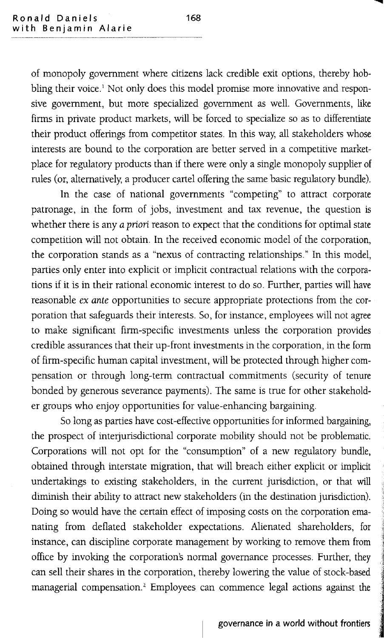of monopoly government where citizens lack credible exit options, thereby hobbling their voice.<sup>1</sup> Not only does this model promise more innovative and responsive government, but more specialized government as well. Governments, like firms in private product markets, will be forced to specialize so as to differentiate their product offerings from competitor states. In this way, all stakeholders whose interests are bound to the corporation are better served in a competitive marketplace for regulatory products than if there were only a single monopoly supplier of rules (or, alternatively, a producer cartel offering the same basic regulatory bundle).

In the case of national governments "competing" to attract corporate patronage, in the form of jobs, investment and tax revenue, the question is whether there is any *a priori reason to expect that the conditions for optimal state* competition will not obtain. In the received economic model of the corporation, the corporation stands as a "nexus of contracting relationships." In this model, parties only enter into explicit or implicit contractual relations with the corporations if it is in their rational economic interest to do so. Further, parties will have reasonable ex *ante* opportunities to secure appropriate protections from the corporation that safeguards their interests. So, for instance, employees will not agree to make significant firm-specific investments unless the corporation provides credible assurances that their up-front investments in the corporation, in the form of firm-specific human capital investment, will be protected through higher compensation or through long-term contractual commitments (security of tenure bonded by generous severance payments). The same is true for other stakeholder groups who enjoy opportunities for value-enhancing bargaining.

So long as parties have cost-effective opportunities for informed bargaining, the prospect of interjurisdictional corporate mobility should not be problematic. Corporations will not opt for the "consumption" of a new regulatory bundle, obtained through interstate migration, that will breach either explicit or implicit undertakings to existing stakeholders, in the current jurisdiction, or that will diminish their ability to attract new stakeholders (in the destination jurisdiction). Doing so would have the certain effect of imposing costs on the corporation emanating from deflated stakeholder expectations. Alienated shareholders, for instance, can discipline corporate management by working to remove them from office by invoking the corporation's normal governance processes. Further, they can sell their shares in the corporation, thereby lowering the value of stock-based managerial compensation.<sup>2</sup> Employees can commence legal actions against the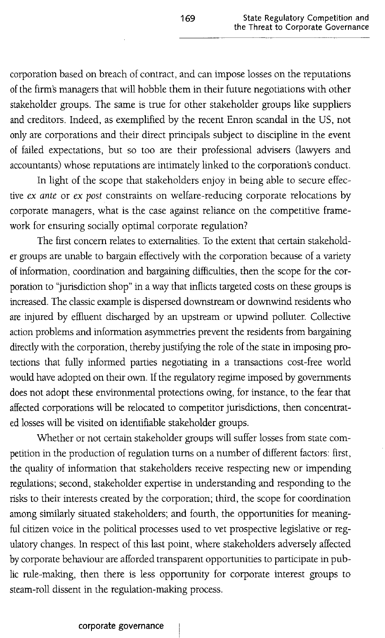corporation based on breach of contract, and can impose losses on the reputations of the firm's managers that will hobble them in their future negotiations with other stakeholder groups. The same is true for other stakeholder groups like suppliers and creditors. Indeed, as exemplified by the recent Enron scandal in the US, not only are corporations and their direct principals subject to discipline in the event of failed expectations, but so too are their professional advisers (lawyers and accountants) whose reputations are intimately linked to the corporation's conduct.

In light of the scope that stakeholders enjoy in being able to secure effective *ex ante* or *ex post* constraints on welfare-reducing corporate relocations by corporate managers, what is the case against reliance on the competitive framework for ensuring socially optimal corporate regulation?

The first concern relates to externalities. To the extent that certain stakeholder groups are unable to bargain effectively with the corporation because of a variety of information, coordination and bargaining difficulties, then the scope for the corporation to "jurisdiction shop" in a way that inflicts targeted costs on these groups is increased. The classic example is dispersed downstream or downwind residents who are injured by effluent discharged by an upstream or upwind polluter. Collective action problems and information asymmetries prevent the residents from bargaining directly with the corporation, thereby justifying the role of the state in imposing protections that fully informed parties negotiating in a transactions cost-free world would have adopted on their own. If the regulatory regime imposed by governments does not adopt these environmental protections owing, for instance, to the fear that affected corporations will be relocated to competitor jurisdictions, then concentrated losses will be visited on identifiable stakeholder groups.

Whether or not certain stakeholder groups will suffer losses from state competition in the production of regulation turns on a number of different factors: first, the quality of information that stakeholders receive respecting new or impending regulations; second, stakeholder expertise in understanding and responding to the risks to their interests created by the corporation; third, the scope for coordination among similarly situated stakeholders; and fourth, the opportunities for meaningful citizen voice in the political processes used to vet prospective legislative or regulatory changes. In respect of this last point, where stakeholders adversely affected by corporate behaviour are afforded transparent opportunities to participate in public rule-making, then there is less opportunity for corporate interest groups to steam-roll dissent in the regulation-making process.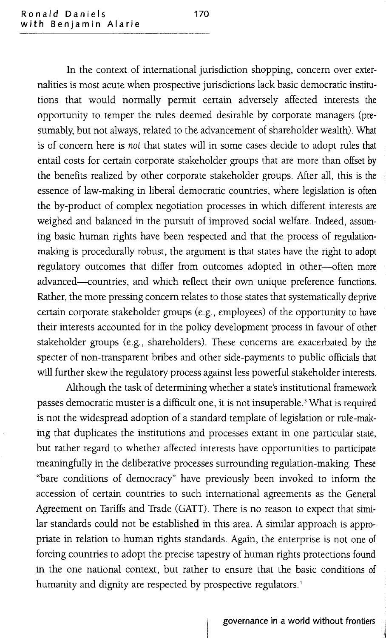In the context of international jurisdiction shopping, concern over externalities is most acute when prospective jurisdictions lack basic democratic institutions that would normally permit certain adversely affected interests the opportunity to temper the rules deemed desirable by corporate managers (presumably, but not always, related to the advancement of shareholder wealth). What is of concern here is *not* that states will in some cases decide to adopt rules that entail costs for certain corporate stakeholder groups that are more than offset by the benefits realized by other corporate stakeholder groups. After all, this is the essence of law-making in liberal democratic countries, where legislation is often the by-product of complex negotiation processes in which different interests are weighed and balanced in the pursuit of improved social welfare. Indeed, assuming basic human rights have been respected and that the process of regulationmaking is procedurally robust, the argument is that states have the right to adopt regulatory outcomes that differ from outcomes adopted in other-often more advanced--countries, and which reflect their own unique preference functions. Rather, the more pressing concern relates to those states that systematically deprive certain corporate stakeholder groups (e.g., employees) of the opportunity to have their interests accounted for in the policy development process in favour of other stakeholder groups (e.g., shareholders). These concerns are exacerbated by the specter of non-transparent bribes and other side-payments to public officials that will further skew the regulatory process against less powerful stakeholder interests.

Although the task of determining whether a state's institutional framework passes democratic muster is a difficult one, it is not insuperable. <sup>3</sup> What is required is not the widespread adoption of a standard template of legislation or rule-making that duplicates the institutions and processes extant in one particular state, but rather regard to whether affected interests have opportunities to participate meaningfully in the deliberative processes surrounding regulation-making. These "bare conditions of democracy" have previously been invoked to inform the accession of certain countries to such international agreements as the General Agreement on Tariffs and Trade (GATT). There is no reason to expect that similar standards could not be established in this area. A similar approach is appropriate in relation to human rights standards. Again, the enterprise is not one of forcing countries to adopt the precise tapestry of human rights protections found in the one national context, but rather to ensure that the basic conditions of humanity and dignity are respected by prospective regulators.<sup>4</sup>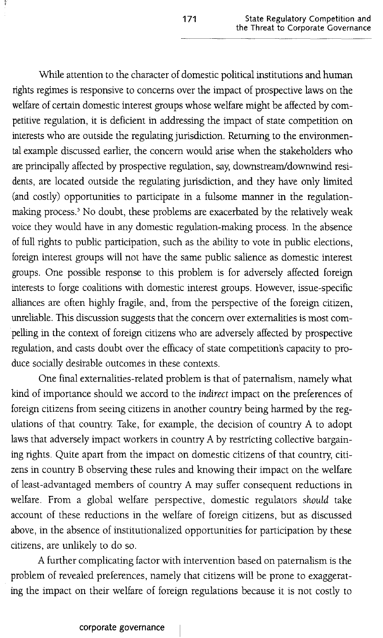While attention to the character of domestic political institutions and human rights regimes is responsive to concerns over the impact of prospective laws on the welfare of certain domestic interest groups whose welfare might be affected by competitive regulation, it is deficient in addressing the impact of state competition on interests who are outside the regulating jurisdiction. Returning to the environmental example discussed earlier, the concern would arise when the stakeholders who are principally affected by prospective regulation, say, downstream/downwind residents, are located outside the regulating jurisdiction, and they have only limited (and costly) opportunities to participate in a fulsome manner in the regulationmaking process.<sup>5</sup> No doubt, these problems are exacerbated by the relatively weak voice they would have in any domestic regulation-making process. In the absence of full rights to public participation, such as the ability to vote in public elections, foreign interest groups will not have the same public salience as domestic interest groups. One possible response to this problem is for adversely affected foreign interests to forge coalitions with domestic interest groups. However, issue-specific alliances are often highly fragile, and, from the perspective of the foreign citizen, unreliable. This discussion suggests that the concern over externalities is most compelling in the context of foreign citizens who are adversely affected by prospective regulation, and casts doubt over the efficacy of state competition's capacity to produce socially desirable outcomes in these contexts.

One final externalities-related problem is that of paternalism, namely what kind of importance should we accord to the *indirect* impact on the preferences of foreign citizens from seeing citizens in another country being harmed by the regulations of that country Take, for example, the decision of country A to adopt laws that adversely impact workers in country A by restricting collective bargaining rights. Quite apart from the impact on domestic citizens of that country, citizens in country B observing these rules and knowing their impact on the welfare of least-advantaged members of country A may suffer consequent reductions in welfare. From a global welfare perspective, domestic regulators *should* take account of these reductions in the welfare of foreign citizens, but as discussed above, in the absence of institutionalized opportunities for participation by these citizens, are unlikely to do so.

A further complicating factor with intervention based on paternalism is the problem of revealed preferences, namely that citizens will be prone to exaggerating the impact on their welfare of foreign regulations because it is not costly to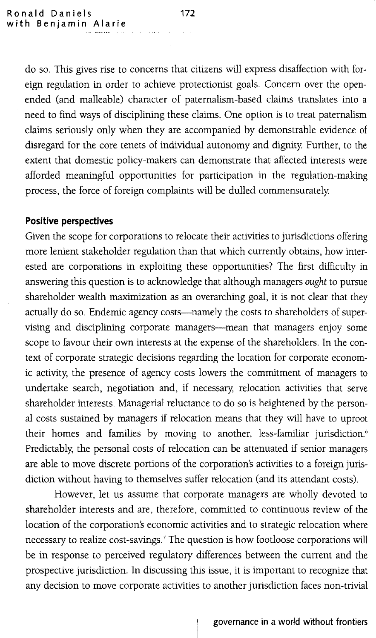do so. This gives rise to concerns that citizens will express disaffection with foreign regulation in order to achieve protectionist goals. Concern over the openended (and malleable) character of paternalism-based claims translates into a need to find ways of disciplining these claims. One option is to treat paternalism claims seriously only when they are accompanied by demonstrable evidence of disregard for the core tenets of individual autonomy and dignity. Further, to the extent that domestic policy-makers can demonstrate that affected interests were afforded meaningful opportunities for participation in the regulation-making process, the force of foreign complaints will be dulled commensurately.

#### **Positive perspectives**

Given the scope for corporations to relocate their activities to jurisdictions offering more lenient stakeholder regulation than that which currently obtains, how interested are corporations in exploiting these opportunities? The first difficulty in answering this question is to acknowledge that although managers *ought* to pursue shareholder wealth maximization as an overarching goal, it is not clear that they actually do so. Endemic agency costs-namely the costs to shareholders of supervising and disciplining corporate managers-mean that managers enjoy some scope to favour their own interests at the expense of the shareholders. In the context of corporate strategic decisions regarding the location for corporate economic activity, the presence of agency costs lowers the commitment of managers to undertake search, negotiation and, if necessary, relocation activities that serve shareholder interests. Managerial reluctance to do so is heightened by the personal costs sustained by managers if relocation means that they will have to uproot their homes and families by moving to another, less-familiar jurisdiction.<sup>6</sup> Predictably, the personal costs of relocation can be attenuated if senior managers are able to move discrete portions of the corporation's activities to a foreign jurisdiction without having to themselves suffer relocation (and its attendant costs).

However, let us assume that corporate managers are wholly devoted to shareholder interests and are, therefore, committed to continuous review of the location of the corporation's economic activities and to strategic relocation where necessary to realize cost-savings. <sup>7</sup> The question is how footloose corporations will be in response to perceived regulatory differences between the current and the prospective jurisdiction. In discussing this issue, it is important to recognize that any decision to move corporate activities to another jurisdiction faces non-trivial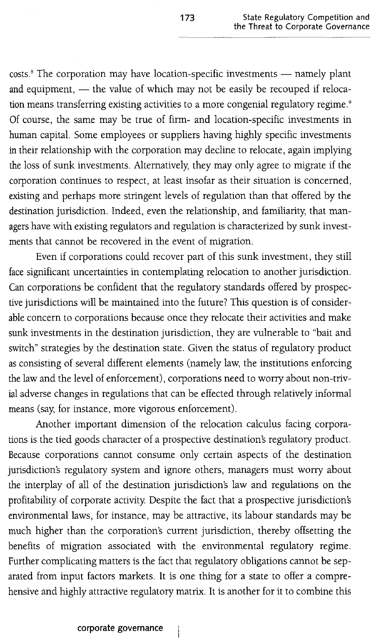$costs$ .<sup>8</sup> The corporation may have location-specific investments  $-$  namely plant and equipment,  $-$  the value of which may not be easily be recouped if relocation means transferring existing activities to a more congenial regulatory regime.<sup>9</sup> Of course, the same may be true of firm- and location-specific investments in human capital. Some employees or suppliers having highly specific investments in their relationship with the corporation may decline to relocate, again implying the loss of sunk investments. Alternatively, they may only agree to migrate if the corporation continues to respect, at least insofar as their situation is concerned, existing and perhaps more stringent levels of regulation than that offered by the destination jurisdiction. Indeed, even the relationship, and familiarity, that managers have with existing regulators and regulation is characterized by sunk investments that cannot be recovered in the event of migration.

Even if corporations could recover part of this sunk investment, they still face significant uncertainties in contemplating relocation to another jurisdiction. Can corporations be confident that the regulatory standards offered by prospective jurisdictions will be maintained into the future? This question is of considerable concern to corporations because once they relocate their activities and make sunk investments in the destination jurisdiction, they are vulnerable to "bait and switch" strategies by the destination state. Given the status of regulatory product as consisting of several different elements (namely law, the institutions enforcing the law and the level of enforcement), corporations need to worry about non-trivial adverse changes in regulations that can be effected through relatively informal means (say, for instance, more vigorous enforcement).

Another important dimension of the relocation calculus facing corporations is the tied goods character of a prospective destination's regulatory product. Because corporations cannot consume only certain aspects of the destination jurisdiction's regulatory system and ignore others, managers must worry about the interplay of all of the destination jurisdiction's law and regulations on the profitability of corporate activity. Despite the fact that a prospective jurisdiction's environmental laws, for instance, may be attractive, its labour standards may be much higher than the corporation's current jurisdiction, thereby offsetting the benefits of migration associated with the environmental regulatory regime. Further complicating matters is the fact that regulatory obligations cannot be separated from input factors markets. It is one thing for a state to offer a comprehensive and highly attractive regulatory matrix. It is another for it to combine this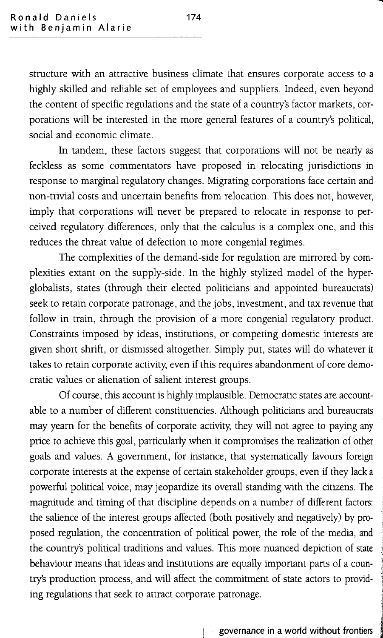structure with an attractive business climate that ensures corporate access to a highly skilled and reliable set of employees and suppliers. Indeed, even beyond the content of specific regulations and the state of a country's factor markets, corporations will be interested in the more general features of a country's political, social and economic climate.

In tandem, these factors suggest that corporations will not be nearly as feckless as some commentators have proposed in relocating jurisdictions in response to marginal regulatory changes. Migrating corporations face certain and non-trivial costs and uncertain benefits from relocation. This does not, however, imply that corporations will never be prepared to relocate in response to perceived regulatory differences, only that the calculus is a complex one, and this reduces the threat value of defection to more congenial regimes.

The complexities of the demand-side for regulation are mirrored by complexities extant on the supply-side. In the highly stylized model of the hyperglobalists, states (through their elected politicians and appointed bureaucrats) seek to retain corporate patronage, and the jobs, investment, and tax revenue that follow in train, through the provision of a more congenial regulatory product. Constraints imposed by ideas, institutions, or competing domestic interests are given short shrift, or dismissed altogether. Simply put, states will do whatever it takes to retain corporate activity, even if this requires abandonment of core democratic values or alienation of salient interest groups.

Of course, this account is highly implausible. Democratic states are accountable to a number of different constituencies. Although politicians and bureaucrats may yearn for the benefits of corporate activity, they will not agree to paying any price to achieve this goal, particularly when it compromises the realization of other goals and values. A government, for instance, that systematically favours foreign corporate interests at the expense of certain stakeholder groups, even if they lack a powerful political voice, may jeopardize its overall standing with the citizens. The magnitude and timing of that discipline depends on a number of different factors: the salience of the interest groups affected (both positively and negatively) by proposed regulation, the concentration of political power, the role of the media, and the country's political traditions and values. This more nuanced depiction of state behaviour means that ideas and institutions are equally important parts of a country's production process, and will affect the commitment of state actors to providing regulations that seek to attract corporate patronage. ing regulations that seek to attract corporate patronage.<br>governance in a world without frontiers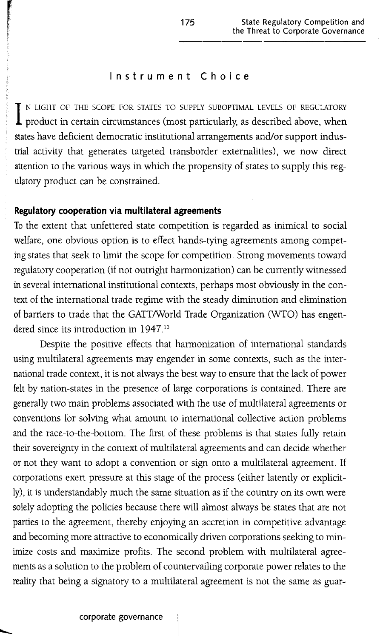#### **Instrument Choice**

I N LIGHT OF THE SCOPE FOR STATES TO SUPPLY SUBOPTIMAL LEVELS OF REGULATORY product in certain circumstances (most particularly, as described above, when N LIGHT OF THE SCOPE FOR STATES TO SUPPLY SUBOPTIMAL LEVELS OF REGULATORY states have deficient democratic institutional arrangements and/or support industrial activity that generates targeted transborder externalities), we now direct attention to the various ways in which the propensity of states to supply this regulatory product can be constrained.

#### **Regulatory cooperation via multilateral agreements**

To the extent that unfettered state competition is regarded as inimical to social welfare, one obvious option is to effect hands-tying agreements among competing states that seek to limit the scope for competition. Strong movements toward regulatory cooperation (if not outright harmonization) can be currently witnessed in several international institutional contexts, perhaps most obviously in the context of the international trade regime with the steady diminution and elimination of barriers to trade that the GATT/World Trade Organization (WTO) has engendered since its introduction in 1947.<sup>10</sup>

Despite the positive effects that harmonization of international standards using multilateral agreements may engender in some contexts, such as the international trade context, it is not always the best way to ensure that the lack of power felt by nation-states in the presence of large corporations is contained. There are generally two main problems associated with the use of multilateral agreements or conventions for solving what amount to international collective action problems and the race-to-the-bottom. The first of these problems is that states fully retain their sovereignty in the context of multilateral agreements and can decide whether or not they want to adopt a convention or sign onto a multilateral agreement. If corporations exert pressure at this stage of the process (either latently or explicitly), it is understandably much the same situation as if the country on its own were solely adopting the policies because there will almost always be states that are not parties to the agreement, thereby enjoying an accretion in competitive advantage and becoming more attractive to economically driven corporations seeking to minimize costs and maximize profits. The second problem with multilateral agreements as a solution to the problem of countervailing corporate power relates to the reality that being a signatory to a multilateral agreement is not the same as guar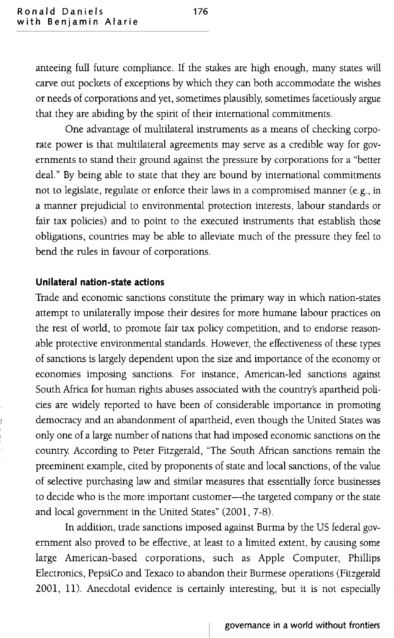anteeing full future compliance. If the stakes are high enough, many states will carve out pockets of exceptions by which they can both accommodate the wishes or needs of corporations and yet, sometimes plausibly, sometimes facetiously argue that they are abiding by the spirit of their international commitments.

One advantage of multilateral instruments as a means of checking corporate power is that multilateral agreements may serve as a credible way for governments to stand their ground against the pressure by corporations for a "better deal." By being able to state that they are bound by international commitments not to legislate, regulate or enforce their laws in a compromised manner (e.g., in a manner prejudicial to environmental protection interests, labour standards or fair tax policies) and to point to the executed instruments that establish those obligations, countries may be able to alleviate much of the pressure they feel to bend the rules in favour of corporations.

#### **Unilateral nation-state actions**

Trade and economic sanctions constitute the primary way in which nation-states attempt to unilaterally impose their desires for more humane labour practices on the rest of world, to promote fair tax policy competition, and to endorse reasonable protective environmental standards. However, the effectiveness of these types of sanctions is largely dependent upon the size and importance of the economy or economies imposing sanctions. For instance, American-led sanctions against South Africa for human rights abuses associated with the countrys apartheid policies are widely reported to have been of considerable importance in promoting democracy and an abandonment of apartheid, even though the United States was only one of a large number of nations that had imposed economic sanctions on the country: According to Peter Fitzgerald, 'The South African sanctions remain the preeminent example, cited by proponents of state and local sanctions, of the value of selective purchasing law and similar measures that essentially force businesses to decide who is the more important customer-the targeted company or the state and local government in the United States" (2001, 7-8).

In addition, trade sanctions imposed against Burma by the US federal government also proved to be effective, at least to a limited extent, by causing some large American-based corporations, such as Apple Computer, Phillips Electronics, PepsiCo and Texaco to abandon their Burmese operations (Fitzgerald 2001, 11). Anecdotal evidence is certainly interesting, but it is not especially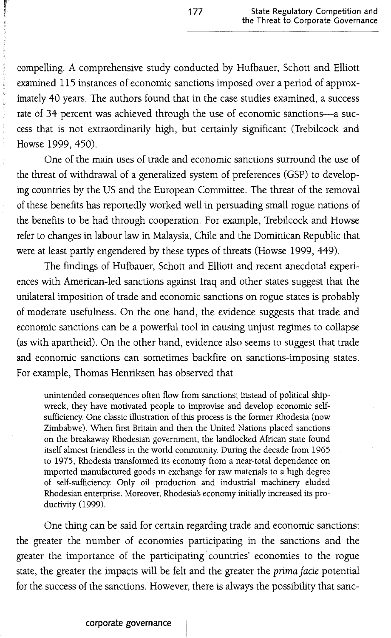compelling. A comprehensive study conducted by Hufbauer, Schott and Elliott examined 115 instances of economic sanctions imposed over a period of approximately 40 years. The authors found that in the case studies examined, a success rate of 34 percent was achieved through the use of economic sanctions-a success that is not extraordinarily high, but certainly significant (Trebilcock and Howse 1999,450).

One of the main uses of trade and economic sanctions surround the use of the threat of withdrawal of a generalized system of preferences (GSP) to developing countries by the US and the European Committee. The threat of the removal of these benefits has reportedly worked well in persuading small rogue nations of the benefits to be had through cooperation. For example, Trebilcock and Howse refer to changes in labour law in Malaysia, Chile and the Dominican Republic that were at least partly engendered by these types of threats (Howse 1999, 449).

The findings of Hufbauer, Schott and Elliott and recent anecdotal experiences with American-led sanctions against Iraq and other states suggest that the unilateral imposition of trade and economic sanctions on rogue states is probably of moderate usefulness. On the one hand, the evidence suggests that trade and economic sanctions can be a powerful tool in causing unjust regimes to collapse (as with apartheid). On the other hand, evidence also seems to suggest that trade and economic sanctions can sometimes backfire on sanctions-imposing states. For example, Thomas Henriksen has observed that

unintended consequences often flow from sanctions; instead of political shipwreck, they have motivated people to improvise and develop economic selfsufficiency One classic illustration of this process is the former Rhodesia (now Zimbabwe). When first Britain and then the United Nations placed sanctions on the breakaway Rhodesian government, the landlocked African state found itself almost friendless in the world community During the decade from 1965 to 1975, Rhodesia transformed its economy from a near-total dependence on imported manufactured goods in exchange for raw materials to a high degree of self-sufficiency Only oil production and industrial machinery eluded Rhodesian enterprise. Moreover, Rhodesia's economy initially increased its productivity (1999).

One thing can be said for certain regarding trade and economic sanctions: the greater the number of economies participating in the sanctions and the greater the importance of the participating countries' economies to the rogue state, the greater the impacts will be felt and the greater the *prima facie* potential for the success of the sanctions. However, there is always the possibility that sanc-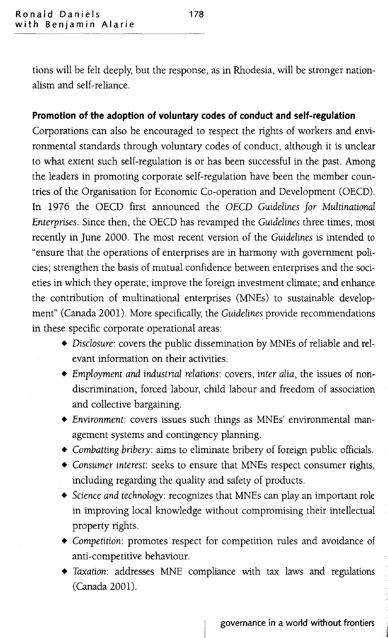tions will be felt deeply, but the response, as in Rhodesia, will be stronger nationalism and self-reliance.

#### **Promotion of the adoption of voluntary codes of conduct and self-regulation**

Corporations can also be encouraged to respect the rights of workers and environmental standards through voluntary codes of conduct, although it is unclear to what extent such self-regulation is or has been successful in the past. Among the leaders in promoting corporate self-regulation have been the member countries of the Organisation for Economic Co-operation and Development (OECD). In 1976 the OECD first announced the *DECD Guidelines for Multinational Enterprises.* Since then, the OECD has revamped the *Guidelines* three times, most recently in June 2000. The most recent version of the *Guidelines* is intended to "ensure that the operations of enterprises are in harmony with government policies; strengthen the basis of mutual confidence between enterprises and the societies in which they operate; improve the foreign investment climate; and enhance the contribution of multinational enterprises (MNEs) to sustainable development" (Canada 2001). More specifically, the *Guidelines* provide recommendations in these specific corporate operational areas:

- *• Disclosure:* covers the public dissemination by MNEs of reliable and relevant information on their activities.
- *• Employment and industrial relations:* covers, *inter alia,* the issues of nondiscrimination, forced labour, child labour and freedom of association and collective bargaining.
- *• Environment:* covers issues such things as MNEs' environmental management systems and contingency planning.
- *• Combatting bribery:* aims to eliminate bribery of foreign public officials.
- *• Consumer interest:* seeks to ensure that MNEs respect consumer rights, including regarding the quality and safety of products.
- *• Science and technology:* recognizes that MNEs can play an important role in improving local knowledge without compromising their intellectual property rights.
- *• Competition:* promotes respect for competition rules and avoidance of anti-competitive behaviour.
- *• Taxation:* addresses MNE compliance with tax laws and regulations (Canada 2001).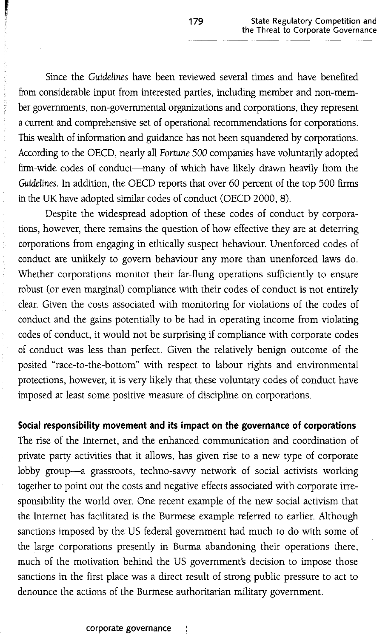Since the *Guidelines* have been reviewed several times and have benefited from considerable input from interested parties, including member and non-member governments, non-governmental organizations and corporations, they represent a current and comprehensive set of operational recommendations for corporations. This wealth of information and guidance has not been squandered by corporations. According to the OECD, nearly all *Fortune 500* companies have voluntarily adopted firm-wide codes of conduct-many of which have likely drawn heavily from the *Guidelines.* In addition, the OECD reports that over 60 percent of the top 500 firms in the UK have adopted similar codes of conduct (OECD 2000, 8).

Despite the widespread adoption of these codes of conduct by corporations, however, there remains the question of how effective they are at deterring corporations from engaging in ethically suspect behaviour. Unenforced codes of conduct are unlikely to govern behaviour any more than unenforced laws do. Whether corporations monitor their far-flung operations sufficiently to ensure robust (or even marginal) compliance with their codes of conduct is not entirely clear. Given the costs associated with monitoring for violations of the codes of conduct and the gains potentially to be had in operating income from violating codes of conduct, it would not be surprising if compliance with corporate codes of conduct was less than perfect. Given the relatively benign outcome of the posited "race-to-the-bottom" with respect to labour rights and environmental protections, however, it is very likely that these voluntary codes of conduct have imposed at least some positive measure of discipline on corporations.

**Social responsibility movement and its impact on the governance of corporations** The rise of the Internet, and the enhanced communication and coordination of private party activities that it allows, has given rise to a new type of corporate lobby group-a grassroots, techno-savvy network of social activists working together to point out the costs and negative effects associated with corporate irresponsibility the world over. One recent example of the new social activism that the Internet has facilitated is the Burmese example referred to earlier. Although sanctions imposed by the US federal government had much to do with some of the large corporations presently in Burma abandoning their operations there, much of the motivation behind the US government's decision to impose those sanctions in the first place was a direct result of strong public pressure to act to denounce the actions of the Burmese authoritarian military government.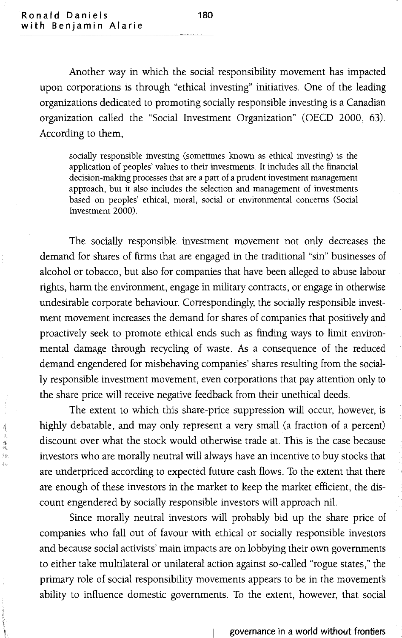$\frac{1}{\sqrt{2}}\sum_{i=1}^{n} \frac{1}{\sqrt{2}}\sum_{i=1}^{n} \frac{1}{\sqrt{2}}\sum_{i=1}^{n} \frac{1}{\sqrt{2}}\sum_{i=1}^{n} \frac{1}{\sqrt{2}}\sum_{i=1}^{n} \frac{1}{\sqrt{2}}\sum_{i=1}^{n} \frac{1}{\sqrt{2}}\sum_{i=1}^{n} \frac{1}{\sqrt{2}}\sum_{i=1}^{n} \frac{1}{\sqrt{2}}\sum_{i=1}^{n} \frac{1}{\sqrt{2}}\sum_{i=1}^{n} \frac{1}{\sqrt{2}}\sum_{i=1}^{n}$ 

凄  $\tilde{\epsilon}$ 傳播 f e-

Another way in which the social responsibility movement has impacted upon corporations is through "ethical investing" initiatives. One of the leading organizations dedicated to promoting socially responsible investing is a Canadian organization called the "Social Investment Organization" (OECD 2000, 63). According to them,

socially responsible investing (sometimes known as ethical investing) is the application of peoples' values to their investments. It includes all the financial decision-making processes that are a part of a prudent investment management approach, but it also includes the selection and management of investments based on peoples' ethical, moral, social or environmental concerns (Social Investment 2000).

The socially responsible investment movement not only decreases the demand for shares of firms that are engaged in the traditional "sin" businesses of alcohol or tobacco, but also for companies that have been alleged to abuse labour rights, harm the environment, engage in military contracts, or engage in otherwise undesirable corporate behaviour. Correspondingly, the socially responsible investment movement increases the demand for shares of companies that positively and proactively seek to promote ethical ends such as finding ways to limit environmental damage through recycling of waste. As a consequence of the reduced demand engendered for misbehaving companies' shares resulting from the socially responsible investment movement, even corporations that pay attention only to the share price will receive negative feedback from their unethical deeds.

The extent to which this share-price suppression will occur, however, is highly debatable, and may only represent a very small (a fraction of a percent) discount over what the stock would otherwise trade at. This is the case because investors who are morally neutral will always have an incentive to buy stocks that are underpriced according to expected future cash flows. To the extent that there are enough of these investors in the market to keep the market efficient, the discount engendered by socially responsible investors will approach nil.

Since morally neutral investors will probably bid up the share price of companies who fall out of favour with ethical or socially responsible investors and because social activists' main impacts are on lobbying their own governments to either take multilateral or unilateral action against so-called "rogue states," the primary role of social responsibility movements appears to be in the movement's ability to influence domestic governments. To the extent, however, that social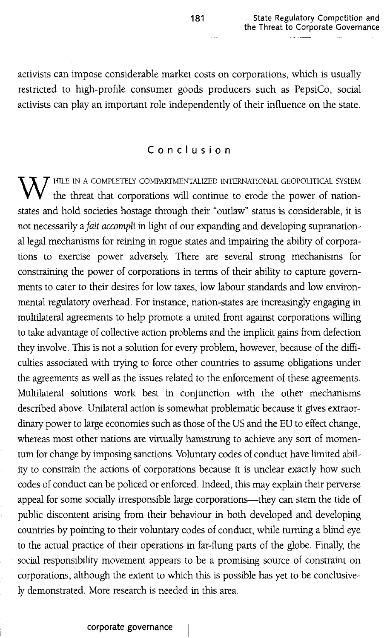activists can impose considerable market costs on corporations, which is usually restricted to high-profile consumer goods producers such as PepsiCo, social activists can play an important role independently of their influence on the state.

### **Conclusion**

 $\overline{X}$   $\overline{J}$  HILE IN A COMPLETELY COMPARTMENTALIZED INTERNATIONAL GEOPOLITICAL SYSTEM the threat that corporations will continue to erode the power of nationstates and hold societies hostage through their "outlaw" status is considerable, it is not necessarily a *fait accompli* in light of our expanding and developing supranational legal mechanisms for reining in rogue states and impairing the ability of corporations to exercise power adversely. There are several strong mechanisms for constraining the power of corporations in terms of their ability to capture governments to cater to their desires for low taxes, low labour standards and low environmental regulatory overhead. For instance, nation-states are increasingly engaging in multilateral agreements to help promote a united front against corporations willing to take advantage of collective action problems and the implicit gains from defection they involve. This is not a solution for every problem, however, because of the difficulties associated with trying to force other countries to assume obligations under the agreements as well as the issues related to the enforcement of these agreements. Multilateral solutions work best in conjunction with the other mechanisms described above. Unilateral action is somewhat problematic because it gives extraordinary power to large economies such as those of the US and the EU to effect change, whereas most other nations are virtually hamstrung to achieve any sort of momentum for change by imposing sanctions. Voluntary codes of conduct have limited ability to constrain the actions of corporations because it is unclear exactly how such codes of conduct can be policed or enforced. Indeed, this may explain their perverse appeal for some socially irresponsible large corporations-they can stem the tide of public discontent arising from their behaviour in both developed and developing countries by pointing to their voluntary codes of conduct, while turning a blind eye to the actual practice of their operations in far-flung parts of the globe. Finally, the social responsibility movement appears to be a promising source of constraint on corporations, although the extent to which this is possible has yet to be conclusively demonstrated. More research is needed in this area.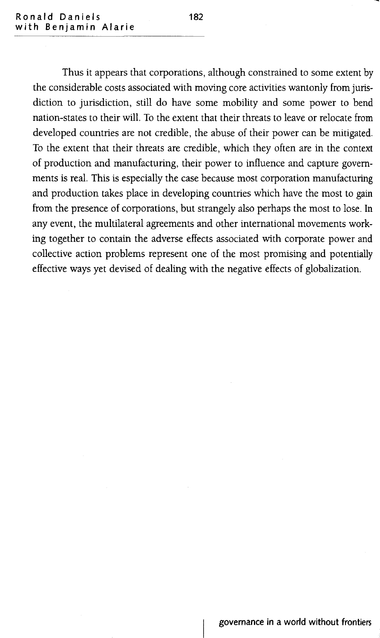Thus it appears that corporations, although constrained to some extent by the considerable costs associated with moving core activities wantonly from jurisdiction to jurisdiction, still do have some mobility and some power to bend nation-states to their will. To the extent that their threats to leave or relocate from developed countries are not credible, the abuse of their power can be mitigated. To the extent that their threats are credible, which they often are in the context of production and manufacturing, their power to influence and capture governments is real. This is especially the case because most corporation manufacturing and production takes place in developing countries which have the most to gain from the presence of corporations, but strangely also perhaps the most to lose. In any event, the multilateral agreements and other international movements working together to contain the adverse effects associated with corporate power and collective action problems represent one of the most promising and potentially effective ways yet devised of dealing with the negative effects of globalization.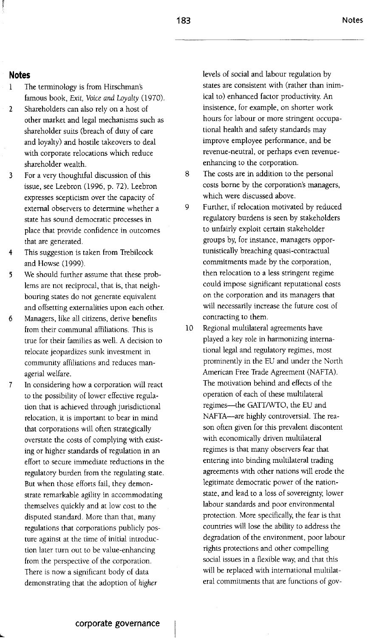#### **Notes**

- 1 The terminology is from Hirschman's famous book, *Exit, Voice and Loyalty (1970).*
- 2 Shareholders can also rely on a host of other market and legal mechanisms such as shareholder suits (breach of duty of care and loyalty) and hostile takeovers to deal with corporate relocations which reduce shareholder wealth.
- 3 For a very thoughtful discussion of this issue, see Leebron (1996, p. 72). Leebron expresses scepticism over the capacity of external observers to determine whether a state has sound democratic processes in place that provide confidence in outcomes that are generated.
- 4 This suggestion is taken from Trebilcock and Howse (1999).
- We should further assume that these prob-5 lems are not reciprocal, that is, that neighbouring states do not generate equivalent and offsetting externalities upon each other.
- 6 Managers, like all citizens, derive benefits from their communal affiliations. This is true for their families as well. A decision to relocate jeopardizes sunk investment in community affiliations and reduces managerial welfare.
- 7 In considering how a corporation will react to the possibility of lower effective regulation that is achieved through jurisdictional relocation, it is important to bear in mind that corporations will often strategically overstate the costs of complying with existing or higher standards of regulation in an effort to secure immediate reductions in the regulatory burden from the regulating state. But when those efforts fail, they demonstrate remarkable agility in accommodating themselves quickly and at low cost to the disputed standard. More than that, many regulations that corporations publicly posture against at the time of initial introduction later tum out to be value-enhancing from the perspective of the corporation. There is now a significant body of data demonstrating that the adoption of *higher*

levels of social and labour regulation by states are consistent with (rather than inimical to) enhanced factor productivity. An insistence, for example, on shorter work hours for labour or more stringent occupational health and safety standards may improve employee performance, and be revenue-neutral, or perhaps even revenueenhancing to the corporation.

- S The costs are in addition to the personal costs borne by the corporation's managers, which were discussed above.
- 9 Further, if relocation motivated by reduced regulatory burdens is seen by stakeholders to unfairly exploit certain stakeholder groups by, for instance, managers opportunistically breaching quasi-contractual commitments made by the corporation, then relocation to a less stringent regime could impose significant reputational costs on the corporation and its managers that will necessarily increase the future cost of contracting to them.
- 10 Regional multilateral agreements have played a key role in harmonizing international legal and regulatory regimes, most prominently in the EU and under the North American Free Trade Agreement (NAFTA). The motivation behind and effects of the operation of each of these multilateral regimes-the GATT/WTO, the EU and NAFTA-are highly controversial. The reason often given for this prevalent discontent with economically driven multilateral regimes is that many observers fear that entering into binding multilateral trading agreements with other nations will erode the legitimate democratic power of the nationstate, and lead to a loss of sovereignty, lower labour standards and poor environmental protection. More specifically, the fear is that countries will lose the ability to address the degradation of the environment, poor labour rights protections and other compelling social issues in a flexible way, and that this will be replaced with international multilateral commitments that are functions of gov-